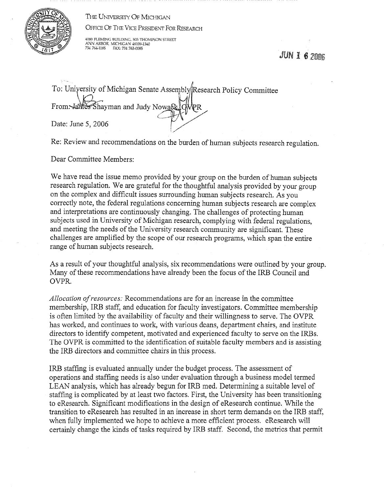THE UNIVERSITY OF MICHIGAN

OFFICE OF THE VICE PRESIDENT FOR RESEARCH



4080 FLEMING BUILDlNG, 503 THOMPSON STREET ANN ARBOR, MICHIGAN 48109-1340 734 764-1185 FAX: 734 763-0085

 $JUNI62006$ 

To: University of Michigan Senate Assembly Research Policy Committee From. James Shayman and Judy Nowae OMPR From Sames Shayman and Judy Nowaek JOMPR<br>Date: June 5, 2006 !,,,,

Re: Review and recommendations on the burden of human subjects research regulation.

Dear Committee Members:

We have read the issue memo provided by your group on the burden of human subjects research regulation. We are grateful for the thoughtful analysis provided by your group on the complex and difficult issues surrounding human subjects research. As you correctly note, the federal regulations concerning human subjects research are complex and interpretations are continuously changing. The challenges of protecting human subjects used in University of Michigan research, complying with federal regulations, and meeting the needs of the University research community are significant. These challenges are amplified by the scope of our research programs, which span the entire range of human subjects research.

As a result of your thoughtful analysis, six recommendations were outlined by your group. Many of these recommendations have already been the focus of the IRB Council and OVPR.

*Allocation of resources:* Recommendations are for an increase in the committee membership, IRB staff, and education for faculty investigators. Committee membership is often limited by the availability of faculty and their willingness to serve. The OVPR has worked, and continues to work, with various deans, department chairs, and institute directors to identify competent, motivated and experienced faculty to serve on the IRBs. The OVPR is committed to the identification of suitable faculty members and is assisting the IRB directors and committee chairs in this process.

IRB staffing is evaluated annually under the budget process. The assessment of operations and staffing needs is also under evaluation through a business model termed LEAN analysis, which has already begun for IRB med. Determining a suitable level of staffing is complicated by at least two factors. First, the University has been transitioning to eResearch. Significant modifications in the design of eResearch continue. While the transition to eResearch has resulted in an increase in short term demands on the IRB staff, when fully implemented we hope to achieve a more efficient process. eResearch will certainly change the kinds of tasks required by IRB staff. Second, the metrics that permit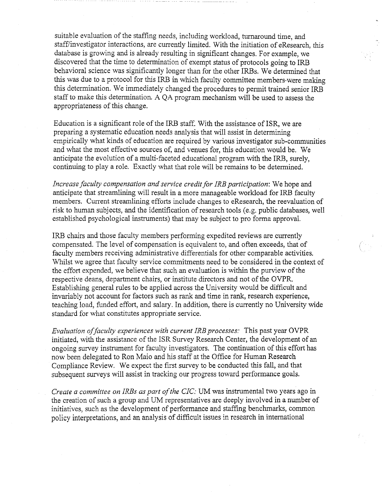suitable evaluation of the staffing needs, including workload, turnaround time, and staff/investigator interactions, are currently limited. With the initiation of eResearch, this database is growing and is already resulting in significant changes. For example, we discovered that the time to determination of exempt status of protocols going to IRB behavioral science was significantly longer than for the other IRBs. We determined that this was due to a protocol for this IRB in which faculty committee members~were making this determination. We immediately changed the procedures to permit trained senior IRB staff to make this determination. A QA program mechanism will be used to assess the appropriateness of this change.

Education is a significant role of the IRB staff. With the assistance of ISR, we are preparing a systematic education needs analysis that will assist in determining empirically what kinds of education are required by various investigator sub-communities and what the most effective sources of, and venues for, this education would be. We anticipate the evolution of a multi-faceted educational program with the IRB, surely, continuing to play a role. Exactly what that role will be remains to be determined.

*Increase faculty compensation and service credit for IRE participation:* We hope and anticipate that streamlining will result in a more manageable workload for IRB faculty members. Current streamlining efforts include changes to eResearch, the reevaluation of risk to human subjects, and the identification of research tools (e.g. public databases, well established psychological instruments) that may be subject to proforma approval.

IRB chairs and those faculty members performing expedited reviews are currently compensated. The level of compensation is equivalent to, and often exceeds, that of faculty members receiving administrative differentials for other comparable activities. Whilst we agree that faculty service commitments need to be considered in the context of the effort expended, we believe that such an evaluation is within the purview of the respective deans, department chairs, or institute directors and not of the OVPR. Establishing general rules to be applied across the University would be difficult and invariably not account for factors such as rank and time in rank, research experience, teaching load, funded effort, and salary. In addition, there is currently no University wide standard for what constitutes appropriate service.

*Evaluation of faculty experiences with current IRE processes:* This past year OVPR initiated, with the assistance of the ISR Survey Research Center, the development of an ongoing survey instrument for faculty investigators. The continuation of this effort has now been delegated to Ron Maio and his staff at the Office for Human Research Compliance Review. We expect the first survey to be conducted this fall, and that subsequent surveys will assist in tracking our progress toward performance goals.

*Create a committee on IRBs as part of the CIC:* UM was instrumental two years ago in the creation of such a group and UM representatives are deeply involved in a number of initiatives, such as the development of performance and staffing benchmarks, common policy interpretations, and an analysis of difficult issues in research in international